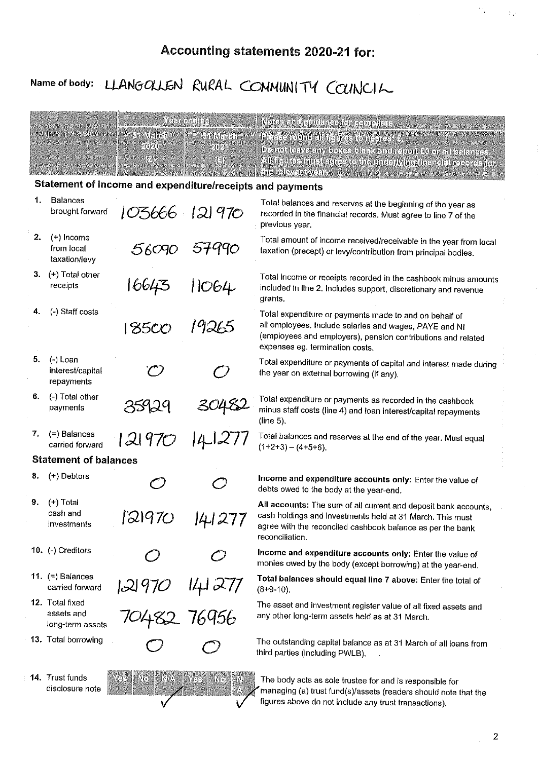## Accounting statements 2020-21 for:

# Name of body: LLANGOLLEN RURAL COMMUNITY COUNCIL

|    |                                                   |                                                           | Ye var eta eta haye        | Rots and sundance for compliar-                                                                                                                                                                               |
|----|---------------------------------------------------|-----------------------------------------------------------|----------------------------|---------------------------------------------------------------------------------------------------------------------------------------------------------------------------------------------------------------|
|    |                                                   | <b>Rigularen</b><br>2020                                  | <b>Sti Mangh</b><br>20/4   | Pleaser@undalbilopress@reader\$\$%                                                                                                                                                                            |
|    |                                                   | 19                                                        | 14                         | De motte ave any boxes blank and report 20 er nil balances.<br>All itenue annes correctes in microphysical discords records for                                                                               |
|    |                                                   | Statement of income and expenditure/receipts and payments |                            | the Relevant year.                                                                                                                                                                                            |
| 1. | <b>Balances</b>                                   |                                                           |                            | Total balances and reserves at the beginning of the year as                                                                                                                                                   |
|    | brought forward                                   | 103666 121970                                             |                            | recorded in the financial records. Must agree to line 7 of the<br>previous year.                                                                                                                              |
| 2. | $(+)$ Income<br>from local<br>taxation/levy       | 56090                                                     | 57990                      | Total amount of income received/receivable in the year from local<br>taxation (precept) or levy/contribution from principal bodies.                                                                           |
|    | 3. $(+)$ Total other<br>receipts                  | 16643                                                     | 11064                      | Total income or receipts recorded in the cashbook minus amounts<br>included in line 2. Includes support, discretionary and revenue<br>grants.                                                                 |
| 4. | (-) Staff costs                                   | 18500                                                     | 19265                      | Total expenditure or payments made to and on behalf of<br>all employees. Include salaries and wages, PAYE and NI                                                                                              |
|    |                                                   |                                                           |                            | (employees and employers), pension contributions and related<br>expenses eg. termination costs.                                                                                                               |
| 5. | $(-)$ Loan<br>interest/capital<br>repayments      |                                                           |                            | Total expenditure or payments of capital and interest made during<br>the year on external borrowing (if any).                                                                                                 |
| 6. | (-) Total other<br>payments                       | 35929                                                     |                            | Total expenditure or payments as recorded in the cashbook<br>minus staff costs (line 4) and loan interest/capital repayments<br>(line 5).                                                                     |
| 7. | (=) Balances<br>carried forward                   | 2 970                                                     |                            | Total balances and reserves at the end of the year. Must equal<br>$(1+2+3) - (4+5+6)$                                                                                                                         |
|    | <b>Statement of balances</b>                      |                                                           |                            |                                                                                                                                                                                                               |
| 8. | (+) Debtors                                       |                                                           | $\subset$                  | Income and expenditure accounts only: Enter the value of<br>debts owed to the body at the year-end.                                                                                                           |
| 9. | $(+)$ Total<br>cash and<br>investments            | 121970                                                    | 141277                     | All accounts: The sum of all current and deposit bank accounts,<br>cash holdings and investments held at 31 March. This must<br>agree with the reconciled cashbook balance as per the bank<br>reconciliation. |
|    | 10. (-) Creditors                                 |                                                           |                            | Income and expenditure accounts only: Enter the value of<br>monies owed by the body (except borrowing) at the year-end.                                                                                       |
|    | 11. $(=)$ Balances<br>carried forward             | 121970                                                    |                            | Total balances should equal line 7 above: Enter the total of<br>$(8+9-10)$ .                                                                                                                                  |
|    | 12. Total fixed<br>assets and<br>long-term assets | 121970 141277<br>70482 76956                              |                            | The asset and investment register value of all fixed assets and<br>any other long-term assets held as at 31 March.                                                                                            |
|    | 13. Total borrowing                               |                                                           |                            | The outstanding capital balance as at 31 March of all loans from<br>third parties (including PWLB).                                                                                                           |
|    | 14. Trust funds<br>disclosure note                | Ya S<br>4x<br>III.                                        | <b>A</b> A<br>4Nep<br>3718 | The body acts as sole trustee for and is responsible for<br>managing (a) trust fund(s)/assets (readers should note that the                                                                                   |

 $\checkmark$ 

 $\checkmark$ 

figures above do not include any trust transactions).

 $\frac{1}{2}$ 

 $\bar{\Sigma}_1$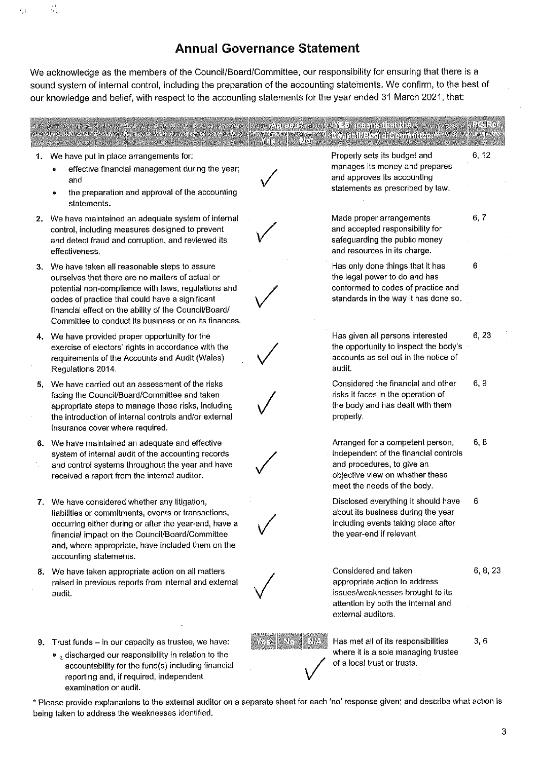### **Annual Governance Statement**

We acknowledge as the members of the Council/Board/Committee, our responsibility for ensuring that there is a sound system of internal control, including the preparation of the accounting statements. We confirm, to the best of our knowledge and belief, with respect to the accounting statements for the year ended 31 March 2021, that:

 $\mathbb{Q}^{\mathbb{Z}}$ 

 $T_{\rm eff}$ 

|    |                                                                                                                                                                                                                                                                                                                                 | $\alpha_0$ perik $\theta$<br>into<br>潘子 | <b>YES' manns that the</b><br>Goungil/Board/Gommittee                                                                                                                     | Patente de |
|----|---------------------------------------------------------------------------------------------------------------------------------------------------------------------------------------------------------------------------------------------------------------------------------------------------------------------------------|-----------------------------------------|---------------------------------------------------------------------------------------------------------------------------------------------------------------------------|------------|
|    | 1. We have put in place arrangements for:<br>effective financial management during the year;<br>and<br>the preparation and approval of the accounting<br>۰<br>statements.                                                                                                                                                       |                                         | Properly sets its budget and<br>manages its money and prepares<br>and approves its accounting<br>statements as prescribed by law.                                         | 6, 12      |
|    | 2. We have maintained an adequate system of internal<br>control, including measures designed to prevent<br>and detect fraud and corruption, and reviewed its<br>effectiveness.                                                                                                                                                  |                                         | Made proper arrangements<br>and accepted responsibility for<br>safeguarding the public money<br>and resources in its charge.                                              | 6, 7       |
|    | 3. We have taken all reasonable steps to assure<br>ourselves that there are no matters of actual or<br>potential non-compliance with laws, regulations and<br>codes of practice that could have a significant<br>financial effect on the ability of the Council/Board/<br>Committee to conduct its business or on its finances. |                                         | Has only done things that it has<br>the legal power to do and has<br>conformed to codes of practice and<br>standards in the way it has done so.                           | 6          |
|    | 4. We have provided proper opportunity for the<br>exercise of electors' rights in accordance with the<br>requirements of the Accounts and Audit (Wales)<br>Regulations 2014.                                                                                                                                                    |                                         | Has given all persons interested<br>the opportunity to inspect the body's<br>accounts as set out in the notice of<br>audit.                                               | 6, 23      |
| 5. | We have carried out an assessment of the risks<br>facing the Council/Board/Committee and taken<br>appropriate steps to manage those risks, including<br>the introduction of internal controls and/or external<br>insurance cover where required.                                                                                |                                         | Considered the financial and other<br>risks it faces in the operation of<br>the body and has dealt with them<br>properly.                                                 | 6, 9       |
|    | 6. We have maintained an adequate and effective<br>system of internal audit of the accounting records<br>and control systems throughout the year and have<br>received a report from the internal auditor.                                                                                                                       |                                         | Arranged for a competent person,<br>independent of the financial controls<br>and procedures, to give an<br>objective view on whether these<br>meet the needs of the body. | 6, 8       |
|    | 7. We have considered whether any litigation,<br>liabilities or commitments, events or transactions,<br>occurring either during or after the year-end, have a<br>financial impact on the Council/Board/Committee<br>and, where appropriate, have included them on the<br>accounting statements.                                 |                                         | Disclosed everything it should have<br>about its business during the year<br>including events taking place after<br>the year-end if relevant.                             | 6          |
|    | 8. We have taken appropriate action on all matters<br>raised in previous reports from internal and external<br>audit.                                                                                                                                                                                                           |                                         | Considered and taken<br>appropriate action to address<br>issues/weaknesses brought to its<br>attention by both the internal and<br>external auditors.                     | 6, 8, 23   |
|    | 9. Trust funds $-$ in our capacity as trustee, we have:<br>$\bullet$ a discharged our responsibility in relation to the<br>accountability for the fund(s) including financial<br>reporting and, if required, independent<br>examination or audit.                                                                               | No<br>n w                               | Has met all of its responsibilities<br>where it is a sole managing trustee<br>of a local trust or trusts.                                                                 | 3,6        |
|    | * Please provide explanations to the external auditor on a separate sheet for each 'no' response given; and describe what action is<br>being taken to address the weaknesses identified.                                                                                                                                        |                                         |                                                                                                                                                                           |            |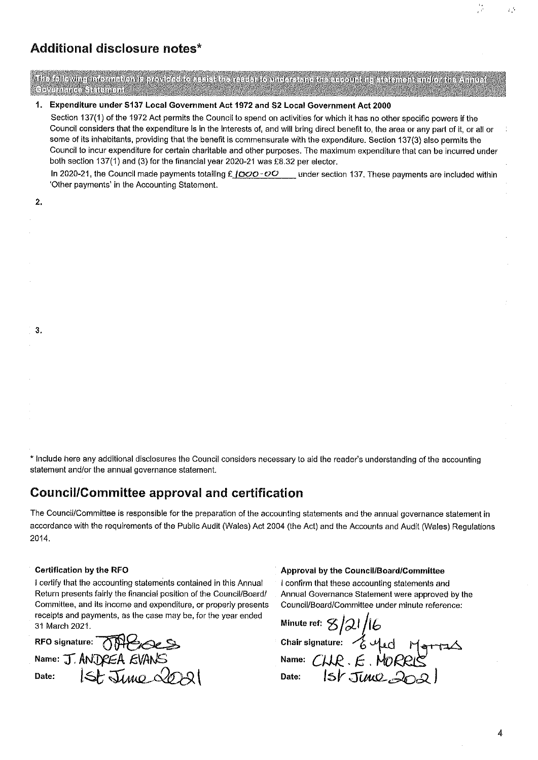### **Additional disclosure notes\***

The following information is provided to assist the reader to understand the accerniting statement and/or the Annual **Severague: Sateman** 

### 1. Expenditure under S137 Local Government Act 1972 and S2 Local Government Act 2000

Section 137(1) of the 1972 Act permits the Council to spend on activities for which it has no other specific powers if the Council considers that the expenditure is in the Interests of, and will bring direct benefit to, the area or any part of it, or all or some of its inhabitants, providing that the benefit is commensurate with the expenditure. Section 137(3) also permits the Council to incur expenditure for certain charitable and other purposes. The maximum expenditure that can be incurred under both section 137(1) and (3) for the financial year 2020-21 was £8.32 per elector.

In 2020-21, the Council made payments totalling £ | 000 - 00 \_ under section 137. These payments are included within 'Other payments' in the Accounting Statement.

| I |  |
|---|--|

 $3.$ 

\* Include here any additional disclosures the Council considers necessary to aid the reader's understanding of the accounting statement and/or the annual governance statement.

### **Council/Committee approval and certification**

The Council/Committee is responsible for the preparation of the accounting statements and the annual governance statement in accordance with the requirements of the Public Audit (Wales) Act 2004 (the Act) and the Accounts and Audit (Wales) Regulations 2014

#### **Certification by the RFO**

I certify that the accounting statements contained in this Annual Return presents fairly the financial position of the Council/Board/ Committee, and its income and expenditure, or properly presents receipts and payments, as the case may be, for the year ended 31 March 2021.

RFO signature: 0 Name: J. ANDREA EVANS  $156$ June 2021 Date:

#### Approval by the Council/Board/Committee

I confirm that these accounting statements and Annual Governance Statement were approved by the Council/Board/Committee under minute reference:

Minute ref: 8/21/16<br>Chair signature: 6 yed<br>Name: CHR. E. MORRIS<br>Date: 1st JUNR2002

 $\mathcal{E}^{\mathcal{A}}$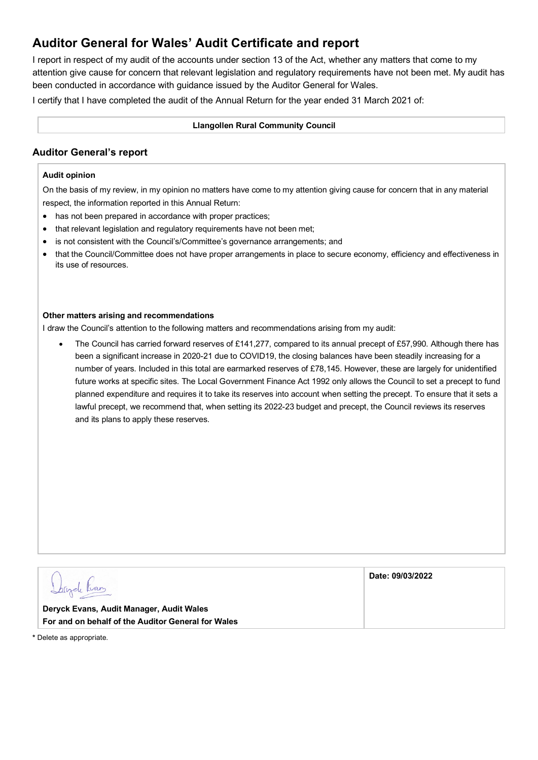### **Auditor General for Wales' Audit Certificate and report**

I report in respect of my audit of the accounts under section 13 of the Act, whether any matters that come to my attention give cause for concern that relevant legislation and regulatory requirements have not been met. My audit has been conducted in accordance with guidance issued by the Auditor General for Wales.

I certify that I have completed the audit of the Annual Return for the year ended 31 March 2021 of:

#### **Llangollen Rural Community Council**

### **Auditor General's report**

#### **Audit opinion**

On the basis of my review, in my opinion no matters have come to my attention giving cause for concern that in any material respect, the information reported in this Annual Return:

- has not been prepared in accordance with proper practices;
- that relevant legislation and regulatory requirements have not been met;
- is not consistent with the Council's/Committee's governance arrangements; and
- that the Council/Committee does not have proper arrangements in place to secure economy, efficiency and effectiveness in its use of resources.

#### **Other matters arising and recommendations**

I draw the Council's attention to the following matters and recommendations arising from my audit:

• The Council has carried forward reserves of £141,277, compared to its annual precept of £57,990. Although there has been a significant increase in 2020-21 due to COVID19, the closing balances have been steadily increasing for a number of years. Included in this total are earmarked reserves of £78,145. However, these are largely for unidentified future works at specific sites. The Local Government Finance Act 1992 only allows the Council to set a precept to fund planned expenditure and requires it to take its reserves into account when setting the precept. To ensure that it sets a lawful precept, we recommend that, when setting its 2022-23 budget and precept, the Council reviews its reserves and its plans to apply these reserves.

| Corpele Fran                                       | Date: 09/03/2022 |
|----------------------------------------------------|------------------|
| Deryck Evans, Audit Manager, Audit Wales           |                  |
| For and on behalf of the Auditor General for Wales |                  |

**\*** Delete as appropriate.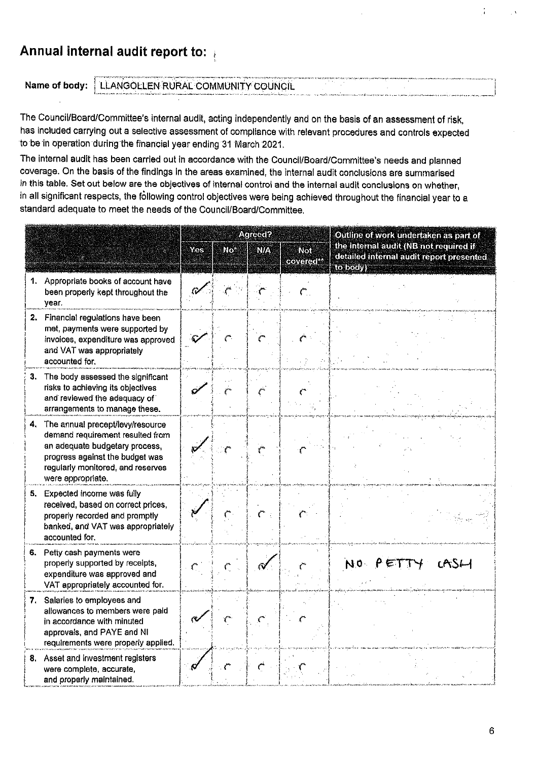### Annual internal audit report to:

### Name of body: | LLANGOLLEN RURAL COMMUNITY COUNCIL

The Council/Board/Committee's internal audit, acting independently and on the basis of an assessment of risk, has included carrying out a selective assessment of compliance with relevant procedures and controls expected to be in operation during the financial year ending 31 March 2021.

The internal audit has been carried out in accordance with the Council/Board/Committee's needs and planned coverage. On the basis of the findings in the areas examined, the internal audit conclusions are summarised in this table. Set out below are the objectives of internal control and the internal audit conclusions on whether, in all significant respects, the following control objectives were being achieved throughout the financial year to a standard adequate to meet the needs of the Council/Board/Committee.

|    |                                                                                                                                                                                                     | Agreed? |    |    |                              | Outline of work undertaken as part of                                                          |  |  |
|----|-----------------------------------------------------------------------------------------------------------------------------------------------------------------------------------------------------|---------|----|----|------------------------------|------------------------------------------------------------------------------------------------|--|--|
|    |                                                                                                                                                                                                     | Yes     | No | NØ | Not<br>covered <sup>**</sup> | the internal audit (NB not required if<br>detailed internal audit report presented<br>to body) |  |  |
|    | 1. Appropriate books of account have<br>been properly kept throughout the<br>year.                                                                                                                  |         |    |    |                              |                                                                                                |  |  |
|    | 2. Financial regulations have been<br>met, payments were supported by<br>invoices, expenditure was approved<br>and VAT was appropriately<br>accounted for.                                          |         |    |    |                              |                                                                                                |  |  |
| З. | The body assessed the significant<br>risks to achieving its objectives<br>and reviewed the adequacy of<br>arrangements to manage these.                                                             |         |    |    |                              |                                                                                                |  |  |
| 4. | The annual precept/levy/resource<br>demand requirement resulted from<br>an adequate budgetary process,<br>progress against the budget was<br>regularly monitored, and reserves<br>were appropriate. |         |    |    |                              |                                                                                                |  |  |
|    | 5. Expected income was fully<br>received, based on correct prices,<br>properly recorded and promptly<br>banked, and VAT was appropriately<br>accounted for.                                         |         |    |    |                              |                                                                                                |  |  |
|    | 6. Petty cash payments were<br>properly supported by receipts,<br>expenditure was approved and<br>VAT appropriately accounted for.                                                                  |         |    |    |                              | NO PET<br>CASL-1                                                                               |  |  |
|    | 7. Salaries to employees and<br>allowances to members were paid<br>in accordance with minuted<br>approvals, and PAYE and NI<br>requirements were properly applied.                                  |         |    |    |                              |                                                                                                |  |  |
|    | 8. Asset and investment registers<br>were complete, accurate,<br>and properly maintained.                                                                                                           |         |    |    |                              |                                                                                                |  |  |

÷